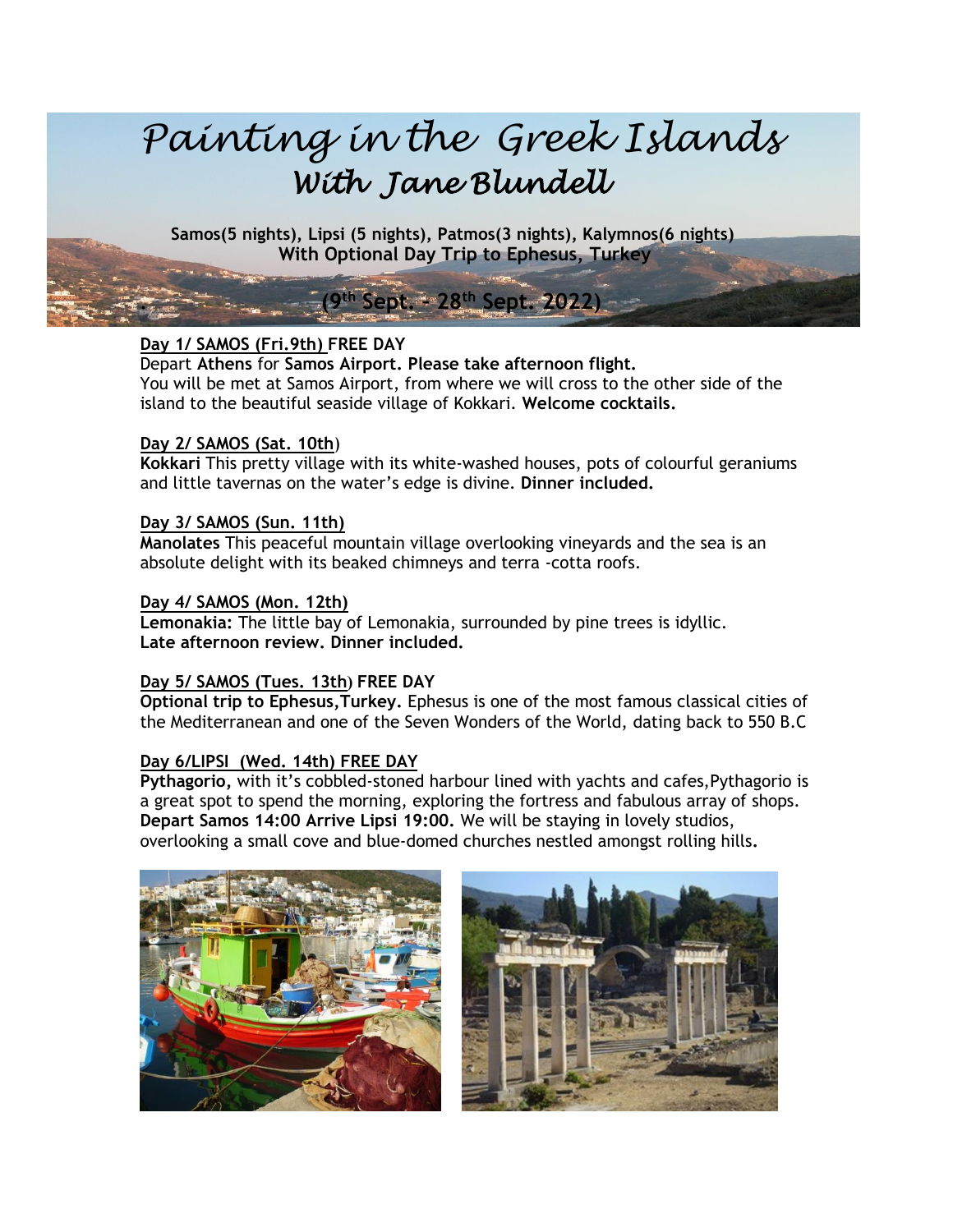

### **Day 1/ SAMOS (Fri.9th) FREE DAY**

Depart **Athens** for **Samos Airport. Please take afternoon flight.** You will be met at Samos Airport, from where we will cross to the other side of the island to the beautiful seaside village of Kokkari. **Welcome cocktails.**

#### **Day 2/ SAMOS (Sat. 10th**)

**Kokkari** This pretty village with its white-washed houses, pots of colourful geraniums and little tavernas on the water's edge is divine. **Dinner included.**

#### **Day 3/ SAMOS (Sun. 11th)**

**Manolates** This peaceful mountain village overlooking vineyards and the sea is an absolute delight with its beaked chimneys and terra -cotta roofs.

#### **Day 4/ SAMOS (Mon. 12th)**

**Lemonakia:** The little bay of Lemonakia, surrounded by pine trees is idyllic. **Late afternoon review. Dinner included.**

### **Day 5/ SAMOS (Tues. 13th) FREE DAY**

**Optional trip to Ephesus,Turkey.** Ephesus is one of the most famous classical cities of the Mediterranean and one of the Seven Wonders of the World, dating back to 550 B.C

#### **Day 6/LIPSI (Wed. 14th) FREE DAY**

**Pythagorio,** with it's cobbled-stoned harbour lined with yachts and cafes,Pythagorio is a great spot to spend the morning, exploring the fortress and fabulous array of shops. **Depart Samos 14:00 Arrive Lipsi 19:00.** We will be staying in lovely studios, overlooking a small cove and blue-domed churches nestled amongst rolling hills**.**

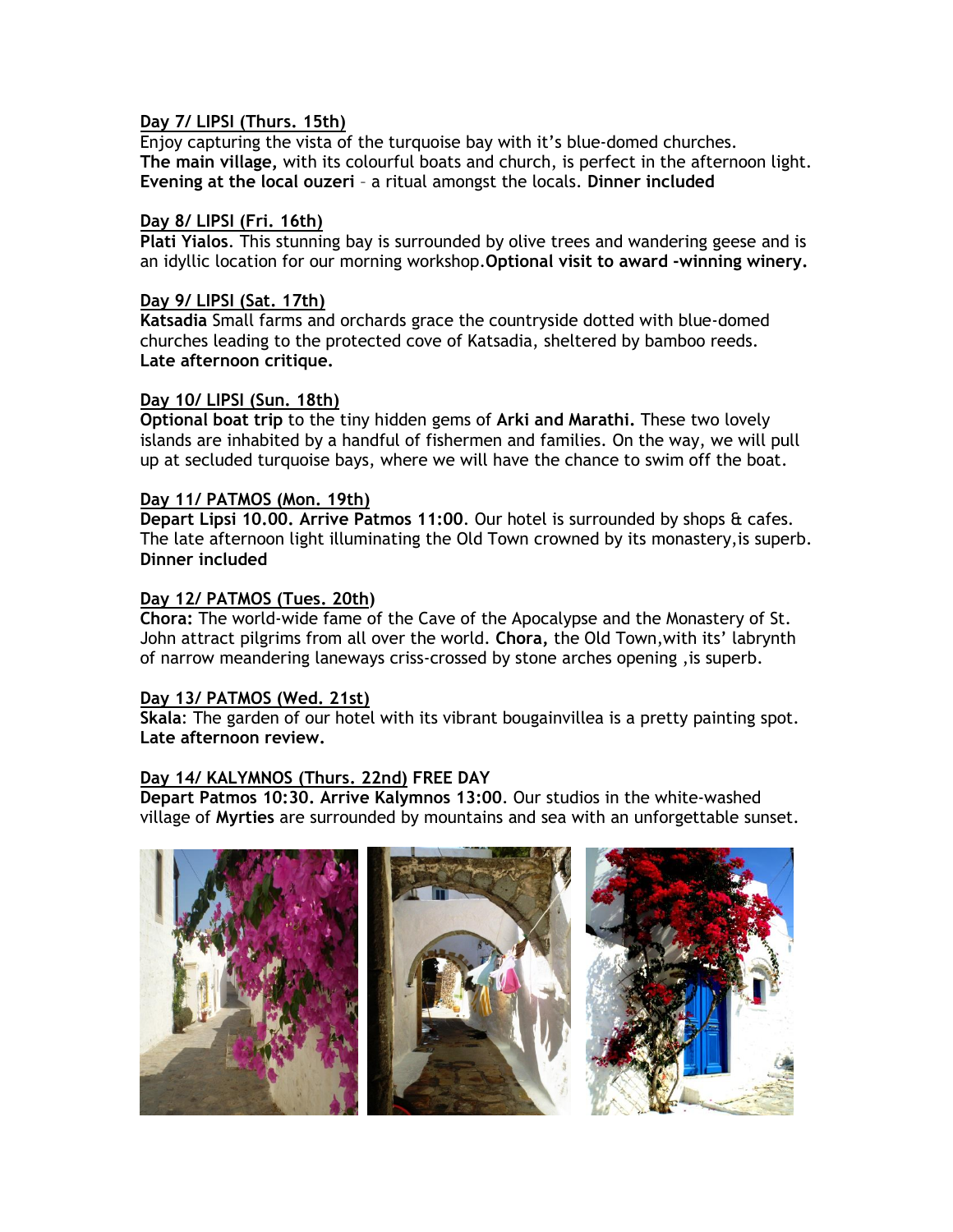### **Day 7/ LIPSI (Thurs. 15th)**

Enjoy capturing the vista of the turquoise bay with it's blue-domed churches. **The main village,** with its colourful boats and church, is perfect in the afternoon light. **Evening at the local ouzeri** – a ritual amongst the locals. **Dinner included**

### **Day 8/ LIPSI (Fri. 16th)**

**Plati Yialos**. This stunning bay is surrounded by olive trees and wandering geese and is an idyllic location for our morning workshop.**Optional visit to award -winning winery.**

### **Day 9/ LIPSI (Sat. 17th)**

**Katsadia** Small farms and orchards grace the countryside dotted with blue-domed churches leading to the protected cove of Katsadia, sheltered by bamboo reeds. **Late afternoon critique.**

### **Day 10/ LIPSI (Sun. 18th)**

**Optional boat trip** to the tiny hidden gems of **Arki and Marathi.** These two lovely islands are inhabited by a handful of fishermen and families. On the way, we will pull up at secluded turquoise bays, where we will have the chance to swim off the boat.

### **Day 11/ PATMOS (Mon. 19th)**

**Depart Lipsi 10.00. Arrive Patmos 11:00**. Our hotel is surrounded by shops & cafes. The late afternoon light illuminating the Old Town crowned by its monastery,is superb. **Dinner included**

### **Day 12/ PATMOS (Tues. 20th)**

**Chora:** The world-wide fame of the Cave of the Apocalypse and the Monastery of St. John attract pilgrims from all over the world. **Chora,** the Old Town,with its' labrynth of narrow meandering laneways criss-crossed by stone arches opening ,is superb.

### **Day 13/ PATMOS (Wed. 21st)**

**Skala**: The garden of our hotel with its vibrant bougainvillea is a pretty painting spot. **Late afternoon review.**

### **Day 14/ KALYMNOS (Thurs. 22nd) FREE DAY**

**Depart Patmos 10:30. Arrive Kalymnos 13:00**. Our studios in the white-washed village of **Myrties** are surrounded by mountains and sea with an unforgettable sunset.